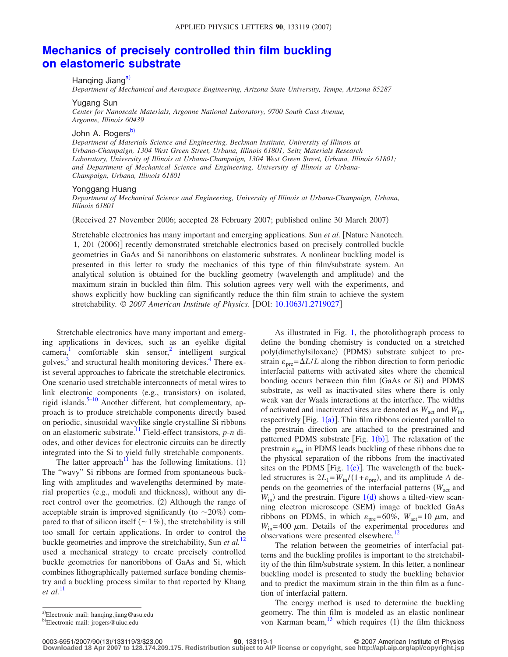# **[Mechanics of precisely controlled thin film buckling](http://dx.doi.org/10.1063/1.2719027) [on elastomeric substrate](http://dx.doi.org/10.1063/1.2719027)**

## Hanging Jiang<sup>a)</sup>

*Department of Mechanical and Aerospace Engineering, Arizona State University, Tempe, Arizona 85287*

#### Yugang Sun

*Center for Nanoscale Materials, Argonne National Laboratory, 9700 South Cass Avenue, Argonne, Illinois 60439*

## John A. Rogers<sup>b)</sup>

*Department of Materials Science and Engineering, Beckman Institute, University of Illinois at Urbana-Champaign, 1304 West Green Street, Urbana, Illinois 61801; Seitz Materials Research Laboratory, University of Illinois at Urbana-Champaign, 1304 West Green Street, Urbana, Illinois 61801; and Department of Mechanical Science and Engineering, University of Illinois at Urbana-Champaign, Urbana, Illinois 61801*

### Yonggang Huang

*Department of Mechanical Science and Engineering, University of Illinois at Urbana-Champaign, Urbana, Illinois 61801*

(Received 27 November 2006; accepted 28 February 2007; published online 30 March 2007)

Stretchable electronics has many important and emerging applications. Sun *et al.* [Nature Nanotech.] 1, 201 (2006)] recently demonstrated stretchable electronics based on precisely controlled buckle geometries in GaAs and Si nanoribbons on elastomeric substrates. A nonlinear buckling model is presented in this letter to study the mechanics of this type of thin film/substrate system. An analytical solution is obtained for the buckling geometry (wavelength and amplitude) and the maximum strain in buckled thin film. This solution agrees very well with the experiments, and shows explicitly how buckling can significantly reduce the thin film strain to achieve the system stretchability. © *2007 American Institute of Physics*. DOI: [10.1063/1.2719027](http://dx.doi.org/10.1063/1.2719027)

Stretchable electronics have many important and emerging applications in devices, such as an eyelike digital  $\text{camera}$ , comfortable skin sensor,<sup>2</sup> intelligent surgical golves, $3$  and structural health monitoring devices.<sup>4</sup> There exist several approaches to fabricate the stretchable electronics. One scenario used stretchable interconnects of metal wires to link electronic components (e.g., transistors) on isolated, rigid islands.<sup>5–[10](#page-2-5)</sup> Another different, but complementary, approach is to produce stretchable components directly based on periodic, sinusoidal wavylike single crystalline Si ribbons on an elastomeric substrate[.11](#page-2-6) Field-effect transistors, *p*-*n* diodes, and other devices for electronic circuits can be directly integrated into the Si to yield fully stretchable components.

The latter approach<sup>11</sup> has the following limitations. (1) The "wavy" Si ribbons are formed from spontaneous buckling with amplitudes and wavelengths determined by material properties (e.g., moduli and thickness), without any direct control over the geometries. (2) Although the range of acceptable strain is improved significantly (to  $\sim$ 20%) compared to that of silicon itself  $(\sim 1\%)$ , the stretchability is still too small for certain applications. In order to control the buckle geometries and improve the stretchability, Sun *et al.*[12](#page-2-7) used a mechanical strategy to create precisely controlled buckle geometries for nanoribbons of GaAs and Si, which combines lithographically patterned surface bonding chemistry and a buckling process similar to that reported by Khang *et al.*[11](#page-2-6)

As illustrated in Fig. [1,](#page-1-0) the photolithograph process to define the bonding chemistry is conducted on a stretched poly(dimethylsiloxane) (PDMS) substrate subject to prestrain  $\varepsilon_{pre} = \Delta L/L$  along the ribbon direction to form periodic interfacial patterns with activated sites where the chemical bonding occurs between thin film (GaAs or Si) and PDMS substrate, as well as inactivated sites where there is only weak van der Waals interactions at the interface. The widths of activated and inactivated sites are denoted as  $W_{\text{act}}$  and  $W_{\text{in}}$ , respectively [Fig.  $1(a)$  $1(a)$ ]. Thin film ribbons oriented parallel to the prestrain direction are attached to the prestrained and patterned PDMS substrate [Fig. [1](#page-1-0)(b)]. The relaxation of the prestrain  $\varepsilon_{\text{pre}}$  in PDMS leads buckling of these ribbons due to the physical separation of the ribbons from the inactivated sites on the PDMS [Fig.  $1(c)$  $1(c)$ ]. The wavelength of the buckled structures is  $2L_1 = W_{\text{in}} / (1 + \varepsilon_{\text{pre}})$ , and its amplitude *A* depends on the geometries of the interfacial patterns *(W<sub>act</sub>* and  $W_{\text{in}}$ ) and the prestrain. Figure [1](#page-1-0)(d) shows a tilted-view scanning electron microscope (SEM) image of buckled GaAs ribbons on PDMS, in which  $\varepsilon_{\text{pre}} = 60\%$ ,  $W_{\text{act}} = 10 \mu \text{m}$ , and  $W_{\text{in}} = 400 \mu \text{m}$ . Details of the experimental procedures and observations were presented elsewhere.<sup>12</sup>

The relation between the geometries of interfacial patterns and the buckling profiles is important to the stretchability of the thin film/substrate system. In this letter, a nonlinear buckling model is presented to study the buckling behavior and to predict the maximum strain in the thin film as a function of interfacial pattern.

The energy method is used to determine the buckling geometry. The thin film is modeled as an elastic nonlinear von Karman beam, $^{13}$  which requires (1) the film thickness

13/133119/3/\$23.00 © 2007 American Institute of Physics **90**, 133119-1 **Downloaded 18 Apr 2007 to 128.174.209.175. Redistribution subject to AIP license or copyright, see http://apl.aip.org/apl/copyright.jsp**

<span id="page-0-1"></span><span id="page-0-0"></span>a)Electronic mail: hanqing.jiang@asu.edu

b)Electronic mail: jrogers@uiuc.edu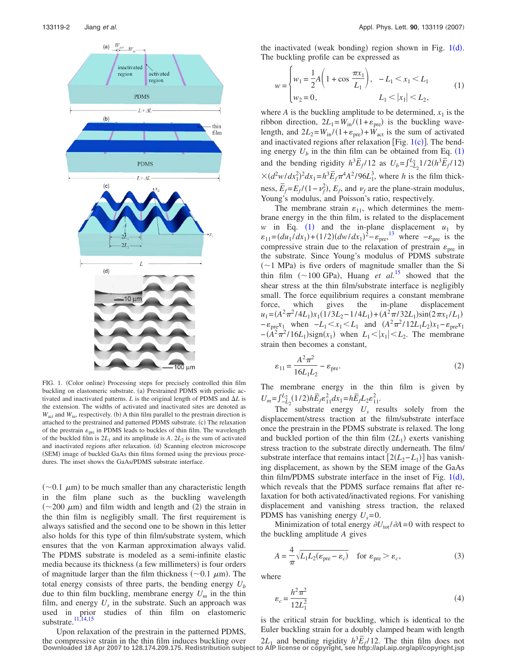<span id="page-1-0"></span>

FIG. 1. (Color online) Processing steps for precisely controlled thin film buckling on elastomeric substrate. (a) Prestrained PDMS with periodic activated and inactivated patterns.  $L$  is the original length of PDMS and  $\Delta L$  is the extension. The widths of activated and inactivated sites are denoted as  $W<sub>act</sub>$  and  $W<sub>in</sub>$ , respectively. (b) A thin film parallel to the prestrain direction is attached to the prestrained and patterned PDMS substrate. (c) The relaxation of the prestrain  $\varepsilon_{\text{pre}}$  in PDMS leads to buckles of thin film. The wavelength of the buckled film is  $2L_1$  and its amplitude is A.  $2L_2$  is the sum of activated and inactivated regions after relaxation. (d) Scanning electron microscope (SEM) image of buckled GaAs thin films formed using the previous procedures. The inset shows the GaAs/PDMS substrate interface.

 $(\sim 0.1 \mu m)$  to be much smaller than any characteristic length in the film plane such as the buckling wavelength  $(\sim 200 \mu m)$  and film width and length and (2) the strain in the thin film is negligibly small. The first requirement is always satisfied and the second one to be shown in this letter also holds for this type of thin film/substrate system, which ensures that the von Karman approximation always valid. The PDMS substrate is modeled as a semi-infinite elastic media because its thickness (a few millimeters) is four orders of magnitude larger than the film thickness  $(\sim 0.1 \mu m)$ . The total energy consists of three parts, the bending energy  $U<sub>b</sub>$ due to thin film buckling, membrane energy  $U_m$  in the thin film, and energy  $U_s$  in the substrate. Such an approach was used in prior studies of thin film on elastomeric substrate. $\frac{11,14,15}{11,14,15}$  $\frac{11,14,15}{11,14,15}$  $\frac{11,14,15}{11,14,15}$  $\frac{11,14,15}{11,14,15}$ 

Upon relaxation of the prestrain in the patterned PDMS,

<span id="page-1-1"></span>the inactivated (weak bonding) region shown in Fig.  $1(d)$  $1(d)$ . The buckling profile can be expressed as

 $\epsilon$ 

$$
w = \begin{cases} w_1 = \frac{1}{2}A\left(1 + \cos\frac{\pi x_1}{L_1}\right), & -L_1 < x_1 < L_1 \\ w_2 = 0, & L_1 < |x_1| < L_2, \end{cases}
$$
(1)

where *A* is the buckling amplitude to be determined,  $x_1$  is the ribbon direction,  $2L_1 = W_{\text{in}} / (1 + \varepsilon_{\text{pre}})$  is the buckling wavelength, and  $2L_2 = W_{\text{in}} / (1 + \varepsilon_{\text{pre}}) + W_{\text{act}}$  is the sum of activated and inactivated regions after relaxation [Fig.  $1(c)$  $1(c)$ ]. The bending energy  $U_b$  in the thin film can be obtained from Eq.  $(1)$  $(1)$  $(1)$ and the bending rigidity  $h^3 \overline{E}_f/12$  as  $U_b = \int_{-L_2}^{L_2} 1/2(h^3 \overline{E}_f/12)$  $\times (d^2w/dx_1^2)^2 dx_1 = h^3 \overline{E}_f \pi^4 A^2 / 96L_1^3$ , where *h* is the film thickness,  $\overline{E}_f = E_f/(1 - \nu_f^2)$ ,  $E_f$ , and  $\nu_f$  are the plane-strain modulus, Young's modulus, and Poisson's ratio, respectively.

The membrane strain  $\varepsilon_{11}$ , which determines the membrane energy in the thin film, is related to the displacement *w* in Eq. ([1](#page-1-1)) and the in-plane displacement  $u_1$  by  $\varepsilon_{11} = (du_1/dx_1) + (1/2)(dw/dx_1)^2 - \varepsilon_{pre}^{13}$  $\varepsilon_{11} = (du_1/dx_1) + (1/2)(dw/dx_1)^2 - \varepsilon_{pre}^{13}$  $\varepsilon_{11} = (du_1/dx_1) + (1/2)(dw/dx_1)^2 - \varepsilon_{pre}^{13}$  where  $-\varepsilon_{pre}$  is the compressive strain due to the relaxation of prestrain  $\varepsilon_{\text{pre}}$  in the substrate. Since Young's modulus of PDMS substrate  $(\sim)1$  MPa) is five orders of magnitude smaller than the Si thin film  $(\sim 100 \text{ GPa})$ , Huang *et al.*<sup>[15](#page-2-10)</sup> showed that the shear stress at the thin film/substrate interface is negligibly small. The force equilibrium requires a constant membrane force, which gives the in-plane displacement  $u_1 = (A^2 \pi^2 / 4L_1)x_1(1/3L_2 - 1/4L_1) + (A^2 \pi / 32L_1)\sin(2\pi x_1/L_1)$  $- \varepsilon_{\text{pre}} x_1$  when  $-L_1 < x_1 < L_1$  and  $(A^2 \pi^2 / 12L_1 L_2) x_1 - \varepsilon_{\text{pre}} x_1$  $-(A^2 \pi^2 / 16L_1)$ sign $(x_1)$  when  $L_1 < |x_1| < L_2$ . The membrane strain then becomes a constant,

<span id="page-1-2"></span>
$$
\varepsilon_{11} = \frac{A^2 \pi^2}{16L_1 L_2} - \varepsilon_{\text{pre}}.\tag{2}
$$

The membrane energy in the thin film is given by  $U_m = \int_{-L_2}^{L_2} (1/2) h \bar{E}_f \epsilon_{11}^2 dx_1 = h \bar{E}_f L_2 \epsilon_{11}^2$ .

The substrate energy *Us* results solely from the displacement/stress traction at the film/substrate interface once the prestrain in the PDMS substrate is relaxed. The long and buckled portion of the thin film  $(2L_1)$  exerts vanishing stress traction to the substrate directly underneath. The film/ substrate interface that remains intact  $[2(L_2 - L_1)]$  has vanishing displacement, as shown by the SEM image of the GaAs thin film/PDMS substrate interface in the inset of Fig.  $1(d)$  $1(d)$ , which reveals that the PDMS surface remains flat after relaxation for both activated/inactivated regions. For vanishing displacement and vanishing stress traction, the relaxed PDMS has vanishing energy  $U_s = 0$ .

<span id="page-1-3"></span>Minimization of total energy  $\partial U_{\text{tot}}/\partial A = 0$  with respect to the buckling amplitude *A* gives

$$
A = \frac{4}{\pi} \sqrt{L_1 L_2 (\varepsilon_{\text{pre}} - \varepsilon_c)} \quad \text{for } \varepsilon_{\text{pre}} > \varepsilon_c,
$$
 (3)

<span id="page-1-4"></span>where

$$
\varepsilon_c = \frac{h^2 \pi^2}{12L_1^2} \tag{4}
$$

is the critical strain for buckling, which is identical to the Euler buckling strain for a doubly clamped beam with length

opon relaxation of the prestrain in the patterned FDM3,<br>the compressive strain in the thin film induces buckling over  $2L_1$  and bending rigidity  $h^3 \overline{E}_f/12$ . The thin film does not<br>Downloaded 18 Apr 2007 to 128.174.2